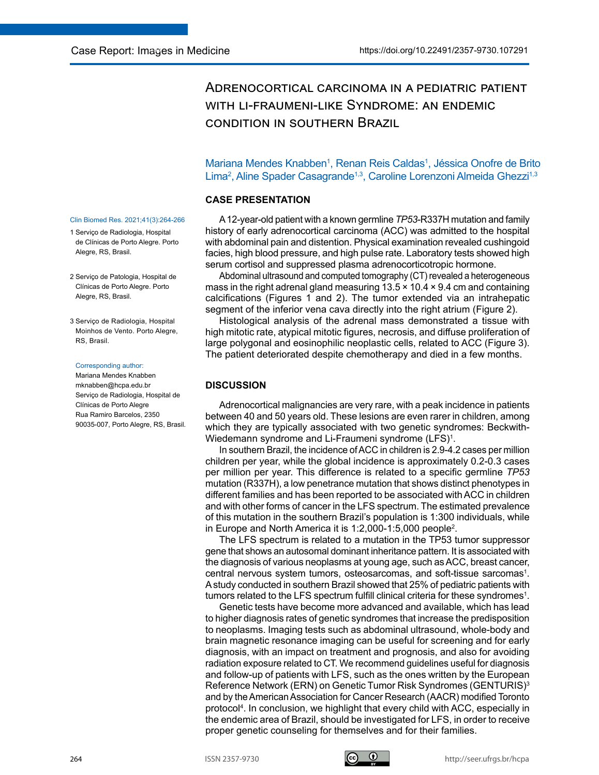# Adrenocortical carcinoma in a pediatric patient with li-fraumeni-like Syndrome: an endemic condition in southern Brazil

Mariana Mendes Knabben<sup>1</sup>, Renan Reis Caldas<sup>1</sup>, Jéssica Onofre de Brito Lima<sup>2</sup>, Aline Spader Casagrande<sup>1,3</sup>, Caroline Lorenzoni Almeida Ghezzi<sup>1,3</sup>

## **CASE PRESENTATION**

A 12-year-old patient with a known germline *TP53*-R337H mutation and family history of early adrenocortical carcinoma (ACC) was admitted to the hospital with abdominal pain and distention. Physical examination revealed cushingoid facies, high blood pressure, and high pulse rate. Laboratory tests showed high serum cortisol and suppressed plasma adrenocorticotropic hormone.

Abdominal ultrasound and computed tomography (CT) revealed a heterogeneous mass in the right adrenal gland measuring  $13.5 \times 10.4 \times 9.4$  cm and containing calcifications (Figures 1 and 2). The tumor extended via an intrahepatic segment of the inferior vena cava directly into the right atrium (Figure 2).

Histological analysis of the adrenal mass demonstrated a tissue with high mitotic rate, atypical mitotic figures, necrosis, and diffuse proliferation of large polygonal and eosinophilic neoplastic cells, related to ACC (Figure 3). The patient deteriorated despite chemotherapy and died in a few months.

# **DISCUSSION**

Adrenocortical malignancies are very rare, with a peak incidence in patients between 40 and 50 years old. These lesions are even rarer in children, among which they are typically associated with two genetic syndromes: Beckwith-Wiedemann syndrome and Li-Fraumeni syndrome (LFS)<sup>1</sup>.

In southern Brazil, the incidence of ACC in children is 2.9-4.2 cases per million children per year, while the global incidence is approximately 0.2-0.3 cases per million per year. This difference is related to a specific germline *TP53*  mutation (R337H), a low penetrance mutation that shows distinct phenotypes in different families and has been reported to be associated with ACC in children and with other forms of cancer in the LFS spectrum. The estimated prevalence of this mutation in the southern Brazil's population is 1:300 individuals, while in Europe and North America it is 1:2,000-1:5,000 people<sup>2</sup> .

The LFS spectrum is related to a mutation in the TP53 tumor suppressor gene that shows an autosomal dominant inheritance pattern. It is associated with the diagnosis of various neoplasms at young age, such as ACC, breast cancer, central nervous system tumors, osteosarcomas, and soft-tissue sarcomas<sup>1</sup>. Astudy conducted in southern Brazil showed that 25% of pediatric patients with tumors related to the LFS spectrum fulfill clinical criteria for these syndromes $^1$ .

Genetic tests have become more advanced and available, which has lead to higher diagnosis rates of genetic syndromes that increase the predisposition to neoplasms. Imaging tests such as abdominal ultrasound, whole-body and brain magnetic resonance imaging can be useful for screening and for early diagnosis, with an impact on treatment and prognosis, and also for avoiding radiation exposure related to CT. We recommend guidelines useful for diagnosis and follow-up of patients with LFS, such as the ones written by the European Reference Network (ERN) on Genetic Tumor Risk Syndromes (GENTURIS)<sup>3</sup> and by the American Association for Cancer Research (AACR) modified Toronto protocol<sup>4</sup> . In conclusion, we highlight that every child with ACC, especially in the endemic area of Brazil, should be investigated for LFS, in order to receive proper genetic counseling for themselves and for their families.

#### Clin Biomed Res. 2021;41(3):264-266

- 1 Serviço de Radiologia, Hospital de Clínicas de Porto Alegre. Porto Alegre, RS, Brasil.
- 2 Serviço de Patologia, Hospital de Clínicas de Porto Alegre. Porto Alegre, RS, Brasil.
- 3 Serviço de Radiologia, Hospital Moinhos de Vento. Porto Alegre, RS, Brasil.

#### Corresponding author:

Mariana Mendes Knabben mknabben@hcpa.edu.br Serviço de Radiologia, Hospital de Clínicas de Porto Alegre Rua Ramiro Barcelos, 2350 90035-007, Porto Alegre, RS, Brasil.

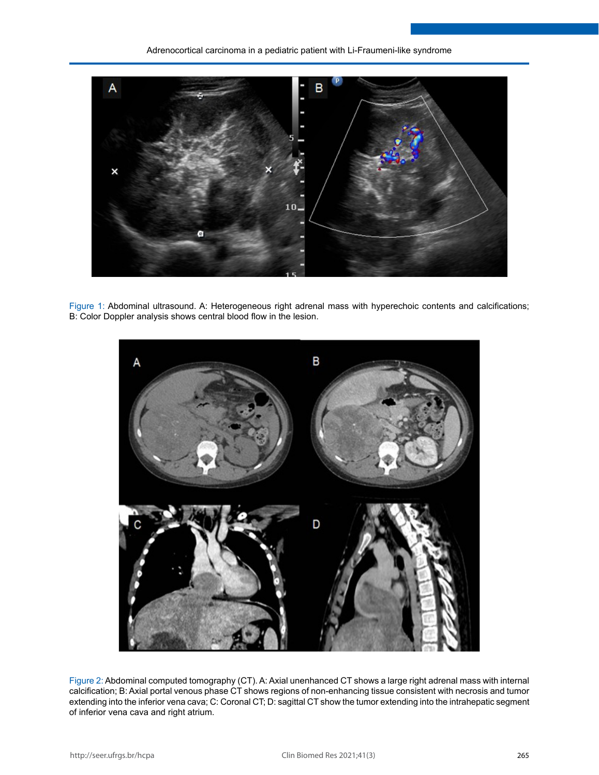

Figure 1: Abdominal ultrasound. A: Heterogeneous right adrenal mass with hyperechoic contents and calcifications; B: Color Doppler analysis shows central blood flow in the lesion.



Figure 2: Abdominal computed tomography (CT). A: Axial unenhanced CT shows a large right adrenal mass with internal calcification; B: Axial portal venous phase CT shows regions of non-enhancing tissue consistent with necrosis and tumor extending into the inferior vena cava; C: Coronal CT; D: sagittal CT show the tumor extending into the intrahepatic segment of inferior vena cava and right atrium.